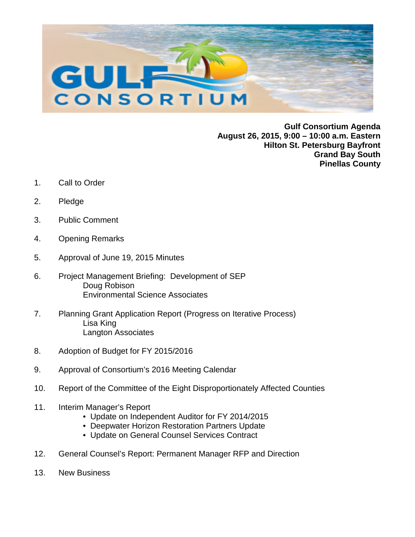

**Gulf Consortium Agenda August 26, 2015, 9:00 – 10:00 a.m. Eastern Hilton St. Petersburg Bayfront Grand Bay South Pinellas County**

- 1. Call to Order
- 2. Pledge
- 3. Public Comment
- 4. Opening Remarks
- 5. Approval of June 19, 2015 Minutes
- 6. Project Management Briefing: Development of SEP Doug Robison Environmental Science Associates
- 7. Planning Grant Application Report (Progress on Iterative Process) Lisa King Langton Associates
- 8. Adoption of Budget for FY 2015/2016
- 9. Approval of Consortium's 2016 Meeting Calendar
- 10. Report of the Committee of the Eight Disproportionately Affected Counties
- 11. Interim Manager's Report
	- Update on Independent Auditor for FY 2014/2015
	- Deepwater Horizon Restoration Partners Update
	- Update on General Counsel Services Contract
- 12. General Counsel's Report: Permanent Manager RFP and Direction
- 13. New Business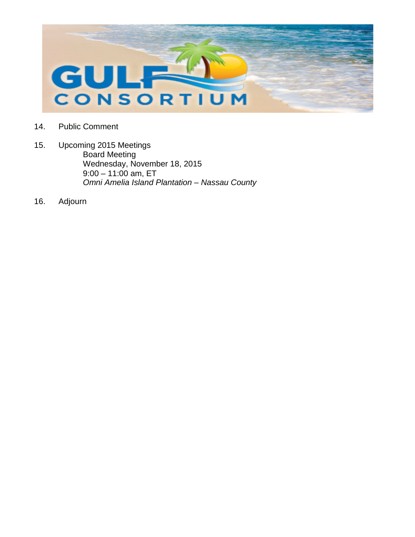

- 14. Public Comment
- 15. Upcoming 2015 Meetings Board Meeting Wednesday, November 18, 2015  $9:00 - 11:00$  am, ET *Omni Amelia Island Plantation – Nassau County*
- 16. Adjourn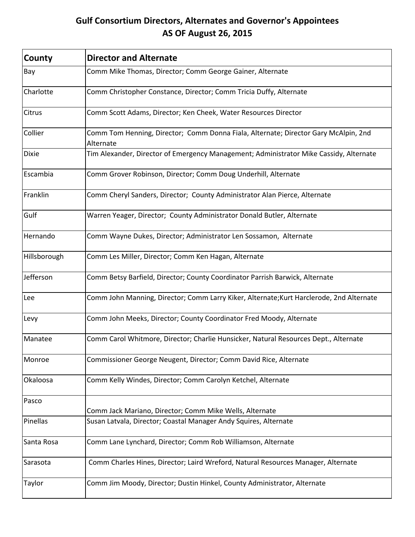# **Gulf Consortium Directors, Alternates and Governor's Appointees AS OF August 26, 2015**

| County       | <b>Director and Alternate</b>                                                                    |
|--------------|--------------------------------------------------------------------------------------------------|
| Bay          | Comm Mike Thomas, Director; Comm George Gainer, Alternate                                        |
| Charlotte    | Comm Christopher Constance, Director; Comm Tricia Duffy, Alternate                               |
| Citrus       | Comm Scott Adams, Director; Ken Cheek, Water Resources Director                                  |
| Collier      | Comm Tom Henning, Director; Comm Donna Fiala, Alternate; Director Gary McAlpin, 2nd<br>Alternate |
| <b>Dixie</b> | Tim Alexander, Director of Emergency Management; Administrator Mike Cassidy, Alternate           |
| Escambia     | Comm Grover Robinson, Director; Comm Doug Underhill, Alternate                                   |
| Franklin     | Comm Cheryl Sanders, Director; County Administrator Alan Pierce, Alternate                       |
| Gulf         | Warren Yeager, Director; County Administrator Donald Butler, Alternate                           |
| Hernando     | Comm Wayne Dukes, Director; Administrator Len Sossamon, Alternate                                |
| Hillsborough | Comm Les Miller, Director; Comm Ken Hagan, Alternate                                             |
| Jefferson    | Comm Betsy Barfield, Director; County Coordinator Parrish Barwick, Alternate                     |
| Lee          | Comm John Manning, Director; Comm Larry Kiker, Alternate; Kurt Harclerode, 2nd Alternate         |
| Levy         | Comm John Meeks, Director; County Coordinator Fred Moody, Alternate                              |
| Manatee      | Comm Carol Whitmore, Director; Charlie Hunsicker, Natural Resources Dept., Alternate             |
| Monroe       | Commissioner George Neugent, Director; Comm David Rice, Alternate                                |
| Okaloosa     | Comm Kelly Windes, Director; Comm Carolyn Ketchel, Alternate                                     |
| Pasco        | Comm Jack Mariano, Director; Comm Mike Wells, Alternate                                          |
| Pinellas     | Susan Latvala, Director; Coastal Manager Andy Squires, Alternate                                 |
| Santa Rosa   | Comm Lane Lynchard, Director; Comm Rob Williamson, Alternate                                     |
| Sarasota     | Comm Charles Hines, Director; Laird Wreford, Natural Resources Manager, Alternate                |
| Taylor       | Comm Jim Moody, Director; Dustin Hinkel, County Administrator, Alternate                         |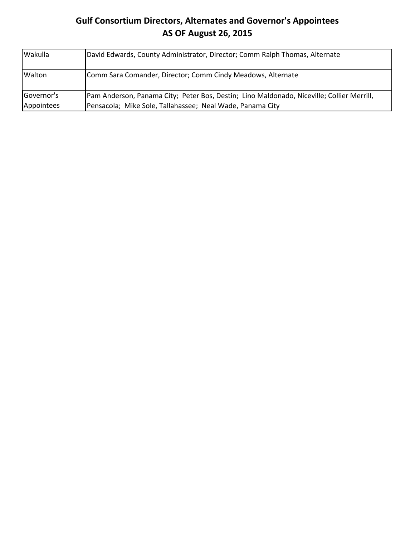# **Gulf Consortium Directors, Alternates and Governor's Appointees AS OF August 26, 2015**

| Wakulla    | David Edwards, County Administrator, Director; Comm Ralph Thomas, Alternate                |
|------------|--------------------------------------------------------------------------------------------|
| Walton     | Comm Sara Comander, Director; Comm Cindy Meadows, Alternate                                |
| Governor's | [Pam Anderson, Panama City; Peter Bos, Destin; Lino Maldonado, Niceville; Collier Merrill, |
| Appointees | Pensacola; Mike Sole, Tallahassee; Neal Wade, Panama City                                  |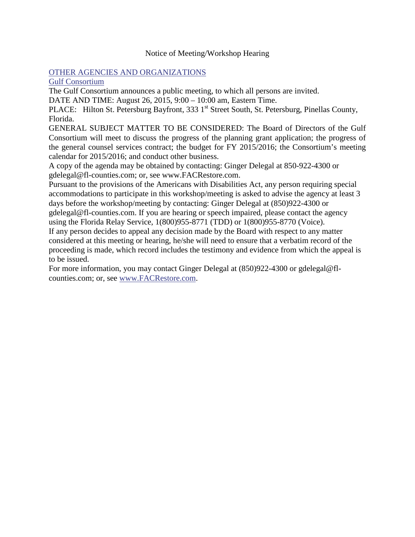### Notice of Meeting/Workshop Hearing

### [OTHER AGENCIES AND ORGANIZATIONS](https://www.flrules.org/gateway/department.asp?id=1000)

[Gulf Consortium](https://www.flrules.org/gateway/organization.asp?id=1089)

The Gulf Consortium announces a public meeting, to which all persons are invited.

DATE AND TIME: August 26, 2015, 9:00 – 10:00 am, Eastern Time.

PLACE: Hilton St. Petersburg Bayfront, 333 1<sup>st</sup> Street South, St. Petersburg, Pinellas County, Florida.

GENERAL SUBJECT MATTER TO BE CONSIDERED: The Board of Directors of the Gulf Consortium will meet to discuss the progress of the planning grant application; the progress of the general counsel services contract; the budget for FY 2015/2016; the Consortium's meeting calendar for 2015/2016; and conduct other business.

A copy of the agenda may be obtained by contacting: Ginger Delegal at 850-922-4300 or gdelegal@fl-counties.com; or, see www.FACRestore.com.

Pursuant to the provisions of the Americans with Disabilities Act, any person requiring special accommodations to participate in this workshop/meeting is asked to advise the agency at least 3 days before the workshop/meeting by contacting: Ginger Delegal at (850)922-4300 or gdelegal@fl-counties.com. If you are hearing or speech impaired, please contact the agency using the Florida Relay Service, 1(800)955-8771 (TDD) or 1(800)955-8770 (Voice).

If any person decides to appeal any decision made by the Board with respect to any matter considered at this meeting or hearing, he/she will need to ensure that a verbatim record of the proceeding is made, which record includes the testimony and evidence from which the appeal is to be issued.

For more information, you may contact Ginger Delegal at (850)922-4300 or gdelegal@flcounties.com; or, see [www.FACRestore.com.](http://www.facrestore.com/)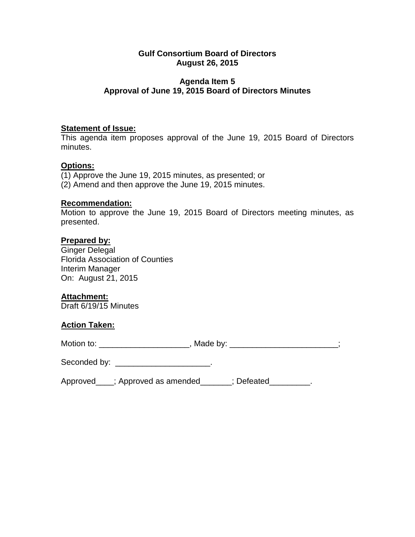## **Agenda Item 5 Approval of June 19, 2015 Board of Directors Minutes**

# **Statement of Issue:**

This agenda item proposes approval of the June 19, 2015 Board of Directors minutes.

## **Options:**

(1) Approve the June 19, 2015 minutes, as presented; or (2) Amend and then approve the June 19, 2015 minutes.

### **Recommendation:**

Motion to approve the June 19, 2015 Board of Directors meeting minutes, as presented.

### **Prepared by:**

Ginger Delegal Florida Association of Counties Interim Manager On: August 21, 2015

## **Attachment:**

Draft 6/19/15 Minutes

### **Action Taken:**

|  | Motion to: | Made by: |
|--|------------|----------|
|--|------------|----------|

| Seconded by: |  |
|--------------|--|
|--------------|--|

| Approved_ | d____; Approved as amended_ | : Defeated |
|-----------|-----------------------------|------------|
|-----------|-----------------------------|------------|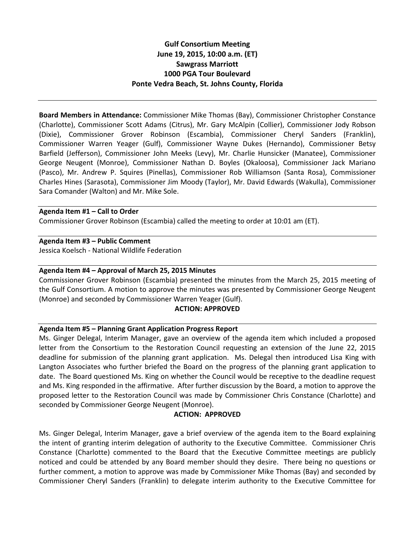# **Gulf Consortium Meeting June 19, 2015, 10:00 a.m. (ET) Sawgrass Marriott 1000 PGA Tour Boulevard Ponte Vedra Beach, St. Johns County, Florida**

**Board Members in Attendance:** Commissioner Mike Thomas (Bay), Commissioner Christopher Constance (Charlotte), Commissioner Scott Adams (Citrus), Mr. Gary McAlpin (Collier), Commissioner Jody Robson (Dixie), Commissioner Grover Robinson (Escambia), Commissioner Cheryl Sanders (Franklin), Commissioner Warren Yeager (Gulf), Commissioner Wayne Dukes (Hernando), Commissioner Betsy Barfield (Jefferson), Commissioner John Meeks (Levy), Mr. Charlie Hunsicker (Manatee), Commissioner George Neugent (Monroe), Commissioner Nathan D. Boyles (Okaloosa), Commissioner Jack Mariano (Pasco), Mr. Andrew P. Squires (Pinellas), Commissioner Rob Williamson (Santa Rosa), Commissioner Charles Hines (Sarasota), Commissioner Jim Moody (Taylor), Mr. David Edwards (Wakulla), Commissioner Sara Comander (Walton) and Mr. Mike Sole.

#### **Agenda Item #1 – Call to Order**

Commissioner Grover Robinson (Escambia) called the meeting to order at 10:01 am (ET).

### **Agenda Item #3 – Public Comment**

Jessica Koelsch - National Wildlife Federation

### **Agenda Item #4 – Approval of March 25, 2015 Minutes**

Commissioner Grover Robinson (Escambia) presented the minutes from the March 25, 2015 meeting of the Gulf Consortium. A motion to approve the minutes was presented by Commissioner George Neugent (Monroe) and seconded by Commissioner Warren Yeager (Gulf).

### **ACTION: APPROVED**

### **Agenda Item #5 – Planning Grant Application Progress Report**

Ms. Ginger Delegal, Interim Manager, gave an overview of the agenda item which included a proposed letter from the Consortium to the Restoration Council requesting an extension of the June 22, 2015 deadline for submission of the planning grant application. Ms. Delegal then introduced Lisa King with Langton Associates who further briefed the Board on the progress of the planning grant application to date. The Board questioned Ms. King on whether the Council would be receptive to the deadline request and Ms. King responded in the affirmative. After further discussion by the Board, a motion to approve the proposed letter to the Restoration Council was made by Commissioner Chris Constance (Charlotte) and seconded by Commissioner George Neugent (Monroe).

### **ACTION: APPROVED**

Ms. Ginger Delegal, Interim Manager, gave a brief overview of the agenda item to the Board explaining the intent of granting interim delegation of authority to the Executive Committee. Commissioner Chris Constance (Charlotte) commented to the Board that the Executive Committee meetings are publicly noticed and could be attended by any Board member should they desire. There being no questions or further comment, a motion to approve was made by Commissioner Mike Thomas (Bay) and seconded by Commissioner Cheryl Sanders (Franklin) to delegate interim authority to the Executive Committee for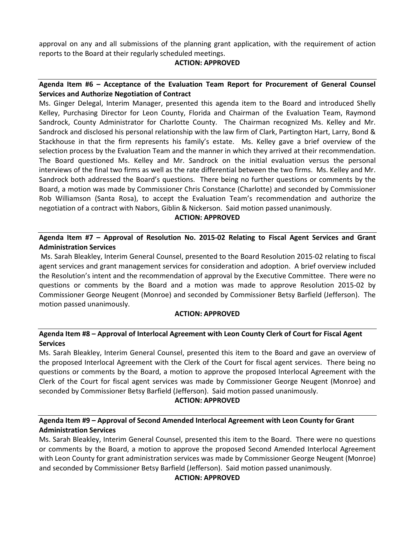approval on any and all submissions of the planning grant application, with the requirement of action reports to the Board at their regularly scheduled meetings.

### **ACTION: APPROVED**

### **Agenda Item #6 – Acceptance of the Evaluation Team Report for Procurement of General Counsel Services and Authorize Negotiation of Contract**

Ms. Ginger Delegal, Interim Manager, presented this agenda item to the Board and introduced Shelly Kelley, Purchasing Director for Leon County, Florida and Chairman of the Evaluation Team, Raymond Sandrock, County Administrator for Charlotte County. The Chairman recognized Ms. Kelley and Mr. Sandrock and disclosed his personal relationship with the law firm of Clark, Partington Hart, Larry, Bond & Stackhouse in that the firm represents his family's estate. Ms. Kelley gave a brief overview of the selection process by the Evaluation Team and the manner in which they arrived at their recommendation. The Board questioned Ms. Kelley and Mr. Sandrock on the initial evaluation versus the personal interviews of the final two firms as well as the rate differential between the two firms. Ms. Kelley and Mr. Sandrock both addressed the Board's questions. There being no further questions or comments by the Board, a motion was made by Commissioner Chris Constance (Charlotte) and seconded by Commissioner Rob Williamson (Santa Rosa), to accept the Evaluation Team's recommendation and authorize the negotiation of a contract with Nabors, Giblin & Nickerson. Said motion passed unanimously.

### **ACTION: APPROVED**

**Agenda Item #7 – Approval of Resolution No. 2015-02 Relating to Fiscal Agent Services and Grant Administration Services**

Ms. Sarah Bleakley, Interim General Counsel, presented to the Board Resolution 2015-02 relating to fiscal agent services and grant management services for consideration and adoption. A brief overview included the Resolution's intent and the recommendation of approval by the Executive Committee. There were no questions or comments by the Board and a motion was made to approve Resolution 2015-02 by Commissioner George Neugent (Monroe) and seconded by Commissioner Betsy Barfield (Jefferson). The motion passed unanimously.

### **ACTION: APPROVED**

### **Agenda Item #8 – Approval of Interlocal Agreement with Leon County Clerk of Court for Fiscal Agent Services**

Ms. Sarah Bleakley, Interim General Counsel, presented this item to the Board and gave an overview of the proposed Interlocal Agreement with the Clerk of the Court for fiscal agent services. There being no questions or comments by the Board, a motion to approve the proposed Interlocal Agreement with the Clerk of the Court for fiscal agent services was made by Commissioner George Neugent (Monroe) and seconded by Commissioner Betsy Barfield (Jefferson). Said motion passed unanimously.

### **ACTION: APPROVED**

## **Agenda Item #9 – Approval of Second Amended Interlocal Agreement with Leon County for Grant Administration Services**

Ms. Sarah Bleakley, Interim General Counsel, presented this item to the Board. There were no questions or comments by the Board, a motion to approve the proposed Second Amended Interlocal Agreement with Leon County for grant administration services was made by Commissioner George Neugent (Monroe) and seconded by Commissioner Betsy Barfield (Jefferson). Said motion passed unanimously.

### **ACTION: APPROVED**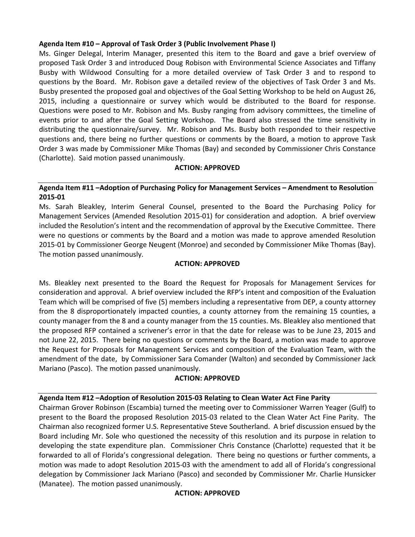### **Agenda Item #10 – Approval of Task Order 3 (Public Involvement Phase I)**

Ms. Ginger Delegal, Interim Manager, presented this item to the Board and gave a brief overview of proposed Task Order 3 and introduced Doug Robison with Environmental Science Associates and Tiffany Busby with Wildwood Consulting for a more detailed overview of Task Order 3 and to respond to questions by the Board. Mr. Robison gave a detailed review of the objectives of Task Order 3 and Ms. Busby presented the proposed goal and objectives of the Goal Setting Workshop to be held on August 26, 2015, including a questionnaire or survey which would be distributed to the Board for response. Questions were posed to Mr. Robison and Ms. Busby ranging from advisory committees, the timeline of events prior to and after the Goal Setting Workshop. The Board also stressed the time sensitivity in distributing the questionnaire/survey. Mr. Robison and Ms. Busby both responded to their respective questions and, there being no further questions or comments by the Board, a motion to approve Task Order 3 was made by Commissioner Mike Thomas (Bay) and seconded by Commissioner Chris Constance (Charlotte). Said motion passed unanimously.

### **ACTION: APPROVED**

### **Agenda Item #11 –Adoption of Purchasing Policy for Management Services – Amendment to Resolution 2015-01**

Ms. Sarah Bleakley, Interim General Counsel, presented to the Board the Purchasing Policy for Management Services (Amended Resolution 2015-01) for consideration and adoption. A brief overview included the Resolution's intent and the recommendation of approval by the Executive Committee. There were no questions or comments by the Board and a motion was made to approve amended Resolution 2015-01 by Commissioner George Neugent (Monroe) and seconded by Commissioner Mike Thomas (Bay). The motion passed unanimously.

### **ACTION: APPROVED**

Ms. Bleakley next presented to the Board the Request for Proposals for Management Services for consideration and approval. A brief overview included the RFP's intent and composition of the Evaluation Team which will be comprised of five (5) members including a representative from DEP, a county attorney from the 8 disproportionately impacted counties, a county attorney from the remaining 15 counties, a county manager from the 8 and a county manager from the 15 counties. Ms. Bleakley also mentioned that the proposed RFP contained a scrivener's error in that the date for release was to be June 23, 2015 and not June 22, 2015. There being no questions or comments by the Board, a motion was made to approve the Request for Proposals for Management Services and composition of the Evaluation Team, with the amendment of the date, by Commissioner Sara Comander (Walton) and seconded by Commissioner Jack Mariano (Pasco). The motion passed unanimously.

### **ACTION: APPROVED**

### **Agenda Item #12 –Adoption of Resolution 2015-03 Relating to Clean Water Act Fine Parity**

Chairman Grover Robinson (Escambia) turned the meeting over to Commissioner Warren Yeager (Gulf) to present to the Board the proposed Resolution 2015-03 related to the Clean Water Act Fine Parity. The Chairman also recognized former U.S. Representative Steve Southerland. A brief discussion ensued by the Board including Mr. Sole who questioned the necessity of this resolution and its purpose in relation to developing the state expenditure plan. Commissioner Chris Constance (Charlotte) requested that it be forwarded to all of Florida's congressional delegation. There being no questions or further comments, a motion was made to adopt Resolution 2015-03 with the amendment to add all of Florida's congressional delegation by Commissioner Jack Mariano (Pasco) and seconded by Commissioner Mr. Charlie Hunsicker (Manatee). The motion passed unanimously.

### **ACTION: APPROVED**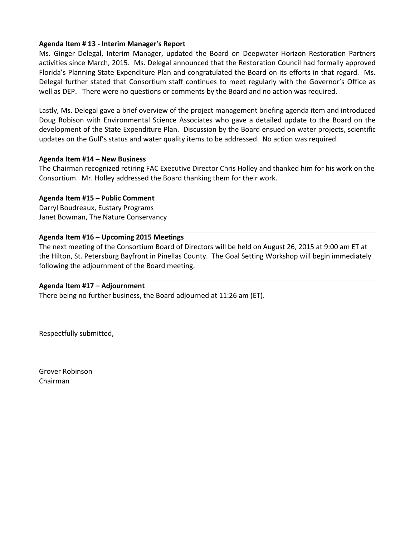### **Agenda Item # 13 - Interim Manager's Report**

Ms. Ginger Delegal, Interim Manager, updated the Board on Deepwater Horizon Restoration Partners activities since March, 2015. Ms. Delegal announced that the Restoration Council had formally approved Florida's Planning State Expenditure Plan and congratulated the Board on its efforts in that regard. Ms. Delegal further stated that Consortium staff continues to meet regularly with the Governor's Office as well as DEP. There were no questions or comments by the Board and no action was required.

Lastly, Ms. Delegal gave a brief overview of the project management briefing agenda item and introduced Doug Robison with Environmental Science Associates who gave a detailed update to the Board on the development of the State Expenditure Plan. Discussion by the Board ensued on water projects, scientific updates on the Gulf's status and water quality items to be addressed. No action was required.

#### **Agenda Item #14 – New Business**

The Chairman recognized retiring FAC Executive Director Chris Holley and thanked him for his work on the Consortium. Mr. Holley addressed the Board thanking them for their work.

#### **Agenda Item #15 – Public Comment**

Darryl Boudreaux, Eustary Programs Janet Bowman, The Nature Conservancy

### **Agenda Item #16 – Upcoming 2015 Meetings**

The next meeting of the Consortium Board of Directors will be held on August 26, 2015 at 9:00 am ET at the Hilton, St. Petersburg Bayfront in Pinellas County. The Goal Setting Workshop will begin immediately following the adjournment of the Board meeting.

### **Agenda Item #17 – Adjournment**

There being no further business, the Board adjourned at 11:26 am (ET).

Respectfully submitted,

Grover Robinson Chairman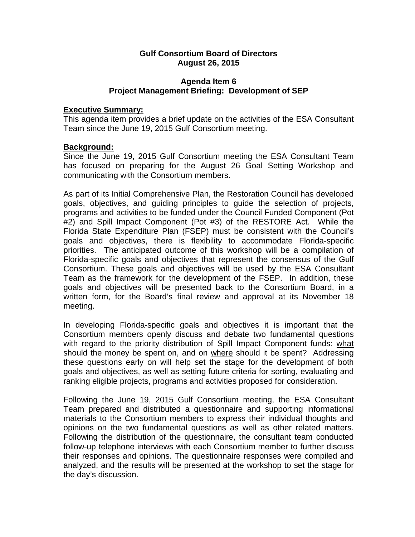## **Agenda Item 6 Project Management Briefing: Development of SEP**

### **Executive Summary:**

This agenda item provides a brief update on the activities of the ESA Consultant Team since the June 19, 2015 Gulf Consortium meeting.

## **Background:**

Since the June 19, 2015 Gulf Consortium meeting the ESA Consultant Team has focused on preparing for the August 26 Goal Setting Workshop and communicating with the Consortium members.

As part of its Initial Comprehensive Plan, the Restoration Council has developed goals, objectives, and guiding principles to guide the selection of projects, programs and activities to be funded under the Council Funded Component (Pot #2) and Spill Impact Component (Pot #3) of the RESTORE Act. While the Florida State Expenditure Plan (FSEP) must be consistent with the Council's goals and objectives, there is flexibility to accommodate Florida-specific priorities. The anticipated outcome of this workshop will be a compilation of Florida-specific goals and objectives that represent the consensus of the Gulf Consortium. These goals and objectives will be used by the ESA Consultant Team as the framework for the development of the FSEP. In addition, these goals and objectives will be presented back to the Consortium Board, in a written form, for the Board's final review and approval at its November 18 meeting.

In developing Florida-specific goals and objectives it is important that the Consortium members openly discuss and debate two fundamental questions with regard to the priority distribution of Spill Impact Component funds: what should the money be spent on, and on where should it be spent? Addressing these questions early on will help set the stage for the development of both goals and objectives, as well as setting future criteria for sorting, evaluating and ranking eligible projects, programs and activities proposed for consideration.

Following the June 19, 2015 Gulf Consortium meeting, the ESA Consultant Team prepared and distributed a questionnaire and supporting informational materials to the Consortium members to express their individual thoughts and opinions on the two fundamental questions as well as other related matters. Following the distribution of the questionnaire, the consultant team conducted follow-up telephone interviews with each Consortium member to further discuss their responses and opinions. The questionnaire responses were compiled and analyzed, and the results will be presented at the workshop to set the stage for the day's discussion.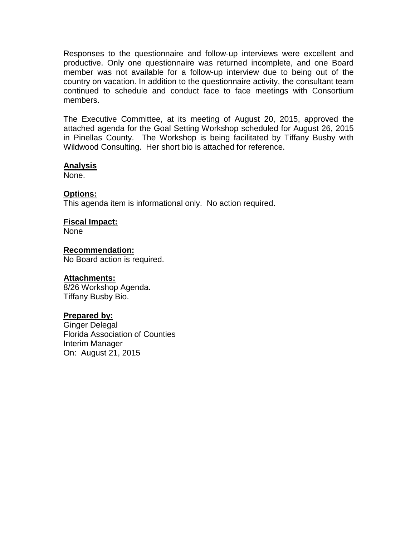Responses to the questionnaire and follow-up interviews were excellent and productive. Only one questionnaire was returned incomplete, and one Board member was not available for a follow-up interview due to being out of the country on vacation. In addition to the questionnaire activity, the consultant team continued to schedule and conduct face to face meetings with Consortium members.

The Executive Committee, at its meeting of August 20, 2015, approved the attached agenda for the Goal Setting Workshop scheduled for August 26, 2015 in Pinellas County. The Workshop is being facilitated by Tiffany Busby with Wildwood Consulting. Her short bio is attached for reference.

### **Analysis**

None.

## **Options:**

This agenda item is informational only. No action required.

# **Fiscal Impact:**

None

## **Recommendation:**

No Board action is required.

## **Attachments:**

8/26 Workshop Agenda. Tiffany Busby Bio.

# **Prepared by:**

Ginger Delegal Florida Association of Counties Interim Manager On: August 21, 2015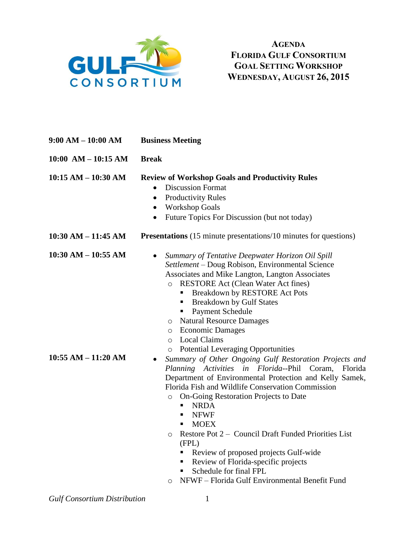

**AGENDA FLORIDA GULF CONSORTIUM GOAL SETTING WORKSHOP WEDNESDAY, AUGUST 26, 2015**

**9:00 AM – 10:00 AM Business Meeting 10:00 AM – 10:15 AM Break 10:15 AM – 10:30 AM Review of Workshop Goals and Productivity Rules** • Discussion Format • Productivity Rules • Workshop Goals • Future Topics For Discussion (but not today) **10:30 AM – 11:45 AM 10:30 AM – 10:55 AM 10:55 AM – 11:20 AM Presentations** (15 minute presentations/10 minutes for questions) *Summary of Tentative Deepwater Horizon Oil Spill Settlement* – Doug Robison, Environmental Science Associates and Mike Langton, Langton Associates o RESTORE Act (Clean Water Act fines) ■ Breakdown by RESTORE Act Pots ■ Breakdown by Gulf States ■ Payment Schedule o Natural Resource Damages o Economic Damages o Local Claims o Potential Leveraging Opportunities *Summary of Other Ongoing Gulf Restoration Projects and Planning Activities in Florida--*Phil Coram, Florida Department of Environmental Protection and Kelly Samek, Florida Fish and Wildlife Conservation Commission o On-Going Restoration Projects to Date NRDA NFWF  $-MOEX$ o Restore Pot 2 – Council Draft Funded Priorities List (FPL) Review of proposed projects Gulf-wide Review of Florida-specific projects Schedule for final FPL o NFWF – Florida Gulf Environmental Benefit Fund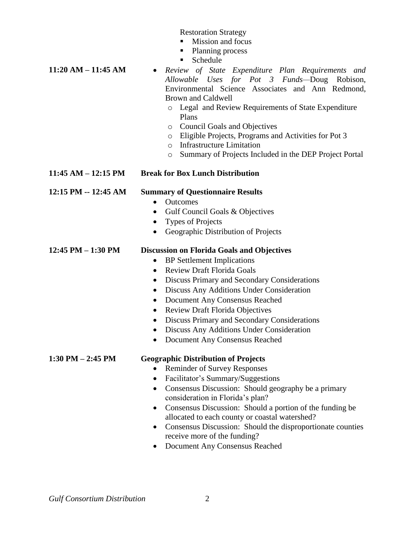Restoration Strategy

**Mission and focus** 

*Review of State Expenditure Plan Requirements and* 

- Planning process
- Schedule

*Allowable Uses for Pot 3 Funds—*Doug Robison, Environmental Science Associates and Ann Redmond, Brown and Caldwell o Legal and Review Requirements of State Expenditure Plans o Council Goals and Objectives o Eligible Projects, Programs and Activities for Pot 3 o Infrastructure Limitation o Summary of Projects Included in the DEP Project Portal **11:45 AM – 12:15 PM Break for Box Lunch Distribution 12:15 PM -- 12:45 AM Summary of Questionnaire Results** • Outcomes • Gulf Council Goals & Objectives • Types of Projects • Geographic Distribution of Projects **12:45 PM – 1:30 PM Discussion on Florida Goals and Objectives** • BP Settlement Implications • Review Draft Florida Goals Discuss Primary and Secondary Considerations Discuss Any Additions Under Consideration Document Any Consensus Reached • Review Draft Florida Objectives Discuss Primary and Secondary Considerations Discuss Any Additions Under Consideration

Document Any Consensus Reached

**11:20 AM – 11:45 AM**

### **1:30 PM – 2:45 PM Geographic Distribution of Projects**

- Reminder of Survey Responses
- Facilitator's Summary/Suggestions
- Consensus Discussion: Should geography be a primary consideration in Florida's plan?
- Consensus Discussion: Should a portion of the funding be allocated to each county or coastal watershed?
- Consensus Discussion: Should the disproportionate counties receive more of the funding?
- Document Any Consensus Reached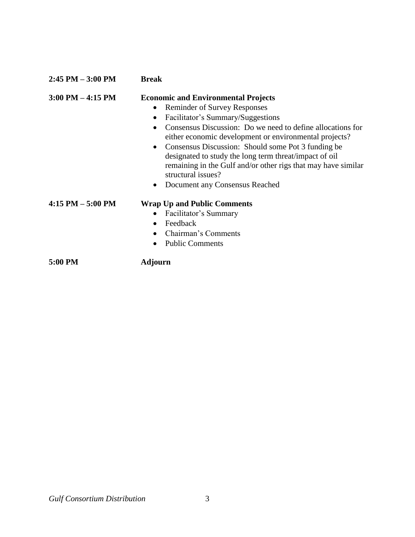| $2:45$ PM $-3:00$ PM | <b>Break</b>                                                                                                                                                                                                                                                                                                                                                                                                                                                                                                                                             |  |  |  |  |
|----------------------|----------------------------------------------------------------------------------------------------------------------------------------------------------------------------------------------------------------------------------------------------------------------------------------------------------------------------------------------------------------------------------------------------------------------------------------------------------------------------------------------------------------------------------------------------------|--|--|--|--|
| $3:00$ PM $-4:15$ PM | <b>Economic and Environmental Projects</b><br><b>Reminder of Survey Responses</b><br>$\bullet$<br>Facilitator's Summary/Suggestions<br>$\bullet$<br>Consensus Discussion: Do we need to define allocations for<br>$\bullet$<br>either economic development or environmental projects?<br>Consensus Discussion: Should some Pot 3 funding be<br>$\bullet$<br>designated to study the long term threat/impact of oil<br>remaining in the Gulf and/or other rigs that may have similar<br>structural issues?<br>Document any Consensus Reached<br>$\bullet$ |  |  |  |  |
| $4:15$ PM $-5:00$ PM | <b>Wrap Up and Public Comments</b><br>Facilitator's Summary<br>Feedback<br>$\bullet$<br>Chairman's Comments<br>$\bullet$<br><b>Public Comments</b>                                                                                                                                                                                                                                                                                                                                                                                                       |  |  |  |  |
| 5:00 PM              | Adjourn                                                                                                                                                                                                                                                                                                                                                                                                                                                                                                                                                  |  |  |  |  |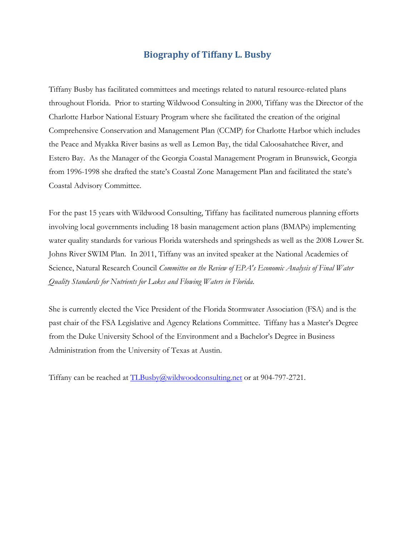# **Biography of Tiffany L. Busby**

Tiffany Busby has facilitated committees and meetings related to natural resource-related plans throughout Florida. Prior to starting Wildwood Consulting in 2000, Tiffany was the Director of the Charlotte Harbor National Estuary Program where she facilitated the creation of the original Comprehensive Conservation and Management Plan (CCMP) for Charlotte Harbor which includes the Peace and Myakka River basins as well as Lemon Bay, the tidal Caloosahatchee River, and Estero Bay. As the Manager of the Georgia Coastal Management Program in Brunswick, Georgia from 1996-1998 she drafted the state's Coastal Zone Management Plan and facilitated the state's Coastal Advisory Committee.

For the past 15 years with Wildwood Consulting, Tiffany has facilitated numerous planning efforts involving local governments including 18 basin management action plans (BMAPs) implementing water quality standards for various Florida watersheds and springsheds as well as the 2008 Lower St. Johns River SWIM Plan. In 2011, Tiffany was an invited speaker at the National Academies of Science, Natural Research Council *Committee on the Review of EPA's Economic Analysis of Final Water Quality Standards for Nutrients for Lakes and Flowing Waters in Florida*.

She is currently elected the Vice President of the Florida Stormwater Association (FSA) and is the past chair of the FSA Legislative and Agency Relations Committee. Tiffany has a Master's Degree from the Duke University School of the Environment and a Bachelor's Degree in Business Administration from the University of Texas at Austin.

Tiffany can be reached at  $TLBusby@widwoodcosulting.net$  or at  $904-797-2721$ .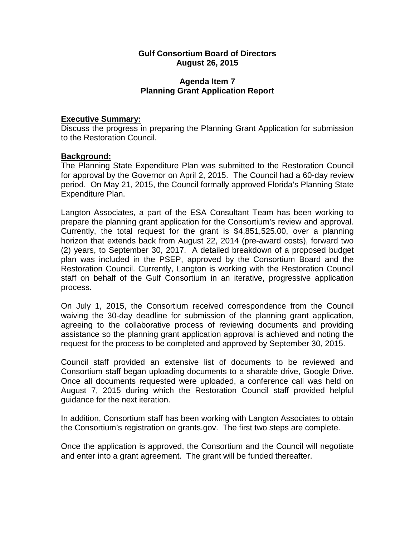## **Agenda Item 7 Planning Grant Application Report**

## **Executive Summary:**

Discuss the progress in preparing the Planning Grant Application for submission to the Restoration Council.

## **Background:**

The Planning State Expenditure Plan was submitted to the Restoration Council for approval by the Governor on April 2, 2015. The Council had a 60-day review period. On May 21, 2015, the Council formally approved Florida's Planning State Expenditure Plan.

Langton Associates, a part of the ESA Consultant Team has been working to prepare the planning grant application for the Consortium's review and approval. Currently, the total request for the grant is \$4,851,525.00, over a planning horizon that extends back from August 22, 2014 (pre-award costs), forward two (2) years, to September 30, 2017. A detailed breakdown of a proposed budget plan was included in the PSEP, approved by the Consortium Board and the Restoration Council. Currently, Langton is working with the Restoration Council staff on behalf of the Gulf Consortium in an iterative, progressive application process.

On July 1, 2015, the Consortium received correspondence from the Council waiving the 30-day deadline for submission of the planning grant application, agreeing to the collaborative process of reviewing documents and providing assistance so the planning grant application approval is achieved and noting the request for the process to be completed and approved by September 30, 2015.

Council staff provided an extensive list of documents to be reviewed and Consortium staff began uploading documents to a sharable drive, Google Drive. Once all documents requested were uploaded, a conference call was held on August 7, 2015 during which the Restoration Council staff provided helpful guidance for the next iteration.

In addition, Consortium staff has been working with Langton Associates to obtain the Consortium's registration on grants.gov. The first two steps are complete.

Once the application is approved, the Consortium and the Council will negotiate and enter into a grant agreement. The grant will be funded thereafter.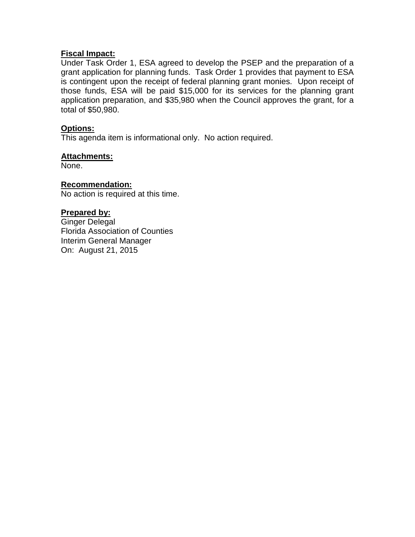## **Fiscal Impact:**

Under Task Order 1, ESA agreed to develop the PSEP and the preparation of a grant application for planning funds. Task Order 1 provides that payment to ESA is contingent upon the receipt of federal planning grant monies. Upon receipt of those funds, ESA will be paid \$15,000 for its services for the planning grant application preparation, and \$35,980 when the Council approves the grant, for a total of \$50,980.

## **Options:**

This agenda item is informational only. No action required.

## **Attachments:**

None.

### **Recommendation:**

No action is required at this time.

## **Prepared by:**

Ginger Delegal Florida Association of Counties Interim General Manager On: August 21, 2015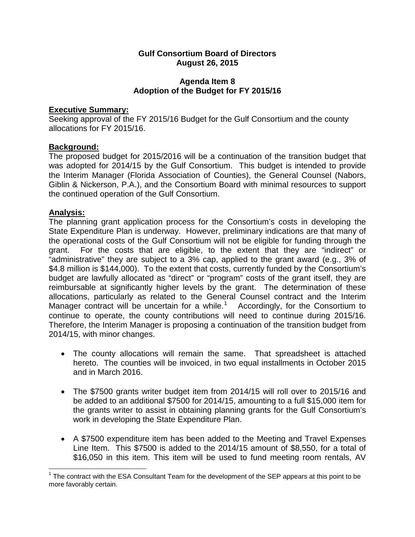## **Agenda Item 8 Adoption of the Budget for FY 2015/16**

## **Executive Summary:**

Seeking approval of the FY 2015/16 Budget for the Gulf Consortium and the county allocations for FY 2015/16.

# **Background:**

The proposed budget for 2015/2016 will be a continuation of the transition budget that was adopted for 2014/15 by the Gulf Consortium. This budget is intended to provide the Interim Manager (Florida Association of Counties), the General Counsel (Nabors, Giblin & Nickerson, P.A.), and the Consortium Board with minimal resources to support the continued operation of the Gulf Consortium.

# **Analysis:**

The planning grant application process for the Consortium's costs in developing the State Expenditure Plan is underway. However, preliminary indications are that many of the operational costs of the Gulf Consortium will not be eligible for funding through the grant. For the costs that are eligible, to the extent that they are "indirect" or "administrative" they are subject to a 3% cap, applied to the grant award (e.g., 3% of \$4.8 million is \$144,000). To the extent that costs, currently funded by the Consortium's budget are lawfully allocated as "direct" or "program" costs of the grant itself, they are reimbursable at significantly higher levels by the grant. The determination of these allocations, particularly as related to the General Counsel contract and the Interim Manager contract will be uncertain for a while.<sup>[1](#page-18-0)</sup> Accordingly, for the Consortium to continue to operate, the county contributions will need to continue during 2015/16. Therefore, the Interim Manager is proposing a continuation of the transition budget from 2014/15, with minor changes.

- The county allocations will remain the same. That spreadsheet is attached hereto. The counties will be invoiced, in two equal installments in October 2015 and in March 2016.
- The \$7500 grants writer budget item from 2014/15 will roll over to 2015/16 and be added to an additional \$7500 for 2014/15, amounting to a full \$15,000 item for the grants writer to assist in obtaining planning grants for the Gulf Consortium's work in developing the State Expenditure Plan.
- A \$7500 expenditure item has been added to the Meeting and Travel Expenses Line Item. This \$7500 is added to the 2014/15 amount of \$8,550, for a total of \$16,050 in this item. This item will be used to fund meeting room rentals, AV

<span id="page-18-0"></span> $1$  The contract with the ESA Consultant Team for the development of the SEP appears at this point to be more favorably certain.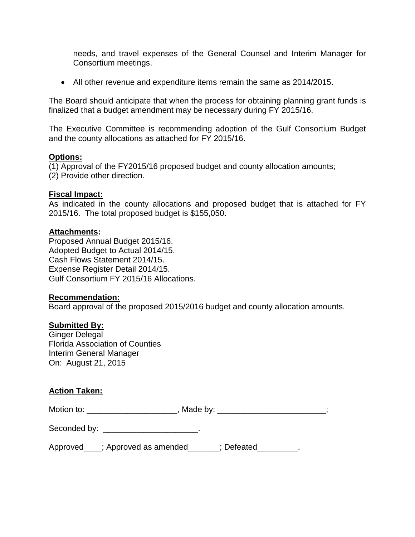needs, and travel expenses of the General Counsel and Interim Manager for Consortium meetings.

• All other revenue and expenditure items remain the same as 2014/2015.

The Board should anticipate that when the process for obtaining planning grant funds is finalized that a budget amendment may be necessary during FY 2015/16.

The Executive Committee is recommending adoption of the Gulf Consortium Budget and the county allocations as attached for FY 2015/16.

### **Options:**

(1) Approval of the FY2015/16 proposed budget and county allocation amounts;

(2) Provide other direction.

### **Fiscal Impact:**

As indicated in the county allocations and proposed budget that is attached for FY 2015/16. The total proposed budget is \$155,050.

### **Attachments:**

Proposed Annual Budget 2015/16. Adopted Budget to Actual 2014/15. Cash Flows Statement 2014/15. Expense Register Detail 2014/15. Gulf Consortium FY 2015/16 Allocations.

### **Recommendation:**

Board approval of the proposed 2015/2016 budget and county allocation amounts.

### **Submitted By:**

Ginger Delegal Florida Association of Counties Interim General Manager On: August 21, 2015

## **Action Taken:**

| Motion to: | Made by: |
|------------|----------|
|            |          |

| Seconded by: |  |
|--------------|--|
|              |  |

Approved\_\_\_\_; Approved as amended\_\_\_\_\_\_\_; Defeated\_\_\_\_\_\_\_\_\_.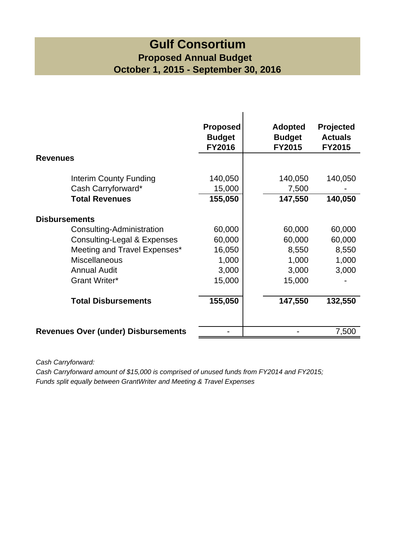# **Gulf Consortium Proposed Annual Budget October 1, 2015 - September 30, 2016**

| <b>Revenues</b>                            | <b>Proposed</b><br><b>Budget</b><br><b>FY2016</b> | <b>Adopted</b><br><b>Budget</b><br><b>FY2015</b> | Projected<br><b>Actuals</b><br><b>FY2015</b> |
|--------------------------------------------|---------------------------------------------------|--------------------------------------------------|----------------------------------------------|
|                                            |                                                   |                                                  |                                              |
| Interim County Funding                     | 140,050                                           | 140,050                                          | 140,050                                      |
| Cash Carryforward*                         | 15,000                                            | 7,500                                            |                                              |
| <b>Total Revenues</b>                      | 155,050                                           | 147,550                                          | 140,050                                      |
| <b>Disbursements</b>                       |                                                   |                                                  |                                              |
| Consulting-Administration                  | 60,000                                            | 60,000                                           | 60,000                                       |
| Consulting-Legal & Expenses                | 60,000                                            | 60,000                                           | 60,000                                       |
| Meeting and Travel Expenses*               | 16,050                                            | 8,550                                            | 8,550                                        |
| <b>Miscellaneous</b>                       | 1,000                                             | 1,000                                            | 1,000                                        |
| <b>Annual Audit</b>                        | 3,000                                             | 3,000                                            | 3,000                                        |
| Grant Writer*                              | 15,000                                            | 15,000                                           |                                              |
| <b>Total Disbursements</b>                 | 155,050                                           | 147,550                                          | 132,550                                      |
| <b>Revenues Over (under) Disbursements</b> |                                                   |                                                  | 7,500                                        |

*Cash Carryforward:*

*Cash Carryforward amount of \$15,000 is comprised of unused funds from FY2014 and FY2015; Funds split equally between GrantWriter and Meeting & Travel Expenses*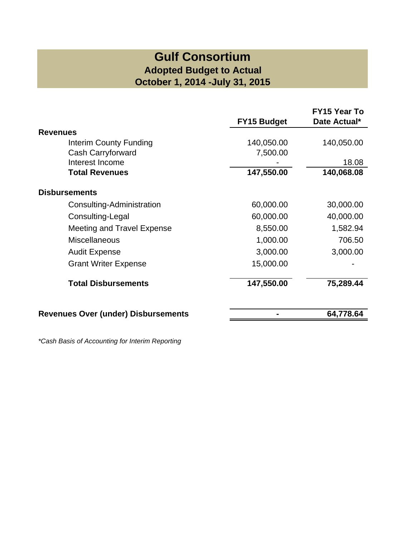# **Gulf Consortium Adopted Budget to Actual October 1, 2014 -July 31, 2015**

| <b>FY15 Budget</b><br>140,050.00<br>7,500.00<br>147,550.00<br>60,000.00 | Date Actual*<br>140,050.00<br>18.08<br>140,068.08<br>30,000.00 |
|-------------------------------------------------------------------------|----------------------------------------------------------------|
|                                                                         |                                                                |
|                                                                         |                                                                |
|                                                                         |                                                                |
|                                                                         |                                                                |
|                                                                         |                                                                |
|                                                                         |                                                                |
|                                                                         |                                                                |
|                                                                         |                                                                |
| 60,000.00                                                               | 40,000.00                                                      |
| 8,550.00                                                                | 1,582.94                                                       |
| 1,000.00                                                                | 706.50                                                         |
| 3,000.00                                                                | 3,000.00                                                       |
| 15,000.00                                                               |                                                                |
| 147,550.00                                                              | 75,289.44                                                      |
|                                                                         | 64,778.64                                                      |
|                                                                         |                                                                |

*\*Cash Basis of Accounting for Interim Reporting*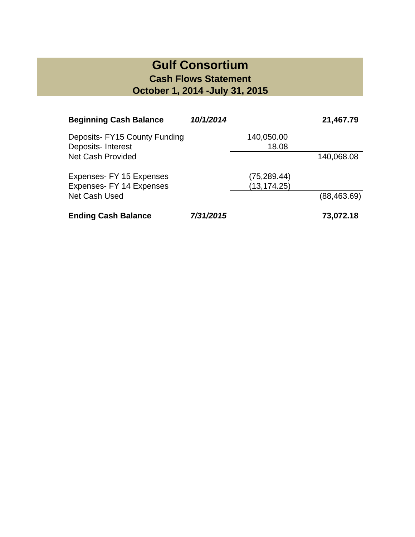# **Gulf Consortium Cash Flows Statement October 1, 2014 -July 31, 2015**

| <b>Beginning Cash Balance</b>                      | 10/1/2014 |                     | 21,467.79    |
|----------------------------------------------------|-----------|---------------------|--------------|
| Deposits- FY15 County Funding<br>Deposits-Interest |           | 140,050.00<br>18.08 |              |
| <b>Net Cash Provided</b>                           |           |                     | 140,068.08   |
| Expenses- FY 15 Expenses                           |           | (75, 289.44)        |              |
| Expenses- FY 14 Expenses                           |           | (13, 174.25)        |              |
| <b>Net Cash Used</b>                               |           |                     | (88, 463.69) |
| <b>Ending Cash Balance</b>                         | 7/31/2015 |                     | 73,072.18    |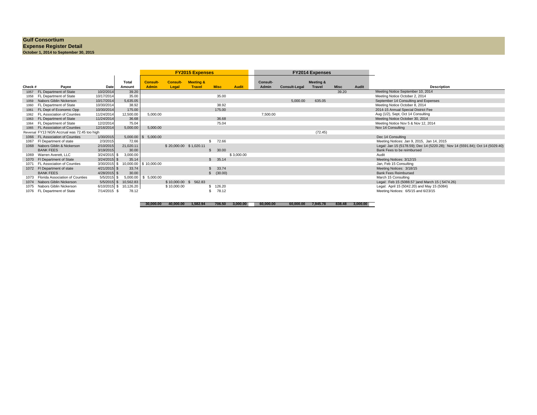#### **Gulf Consortium**

# **Expense Register Detail October 1, 2014 to September 30, 2015**

|          |                                        |                |                        |                                 |                         | <b>FY2015 Expenses</b>                |                       |            |                          | <b>FY2014 Expenses</b> |                                       |             |       |                                                                               |
|----------|----------------------------------------|----------------|------------------------|---------------------------------|-------------------------|---------------------------------------|-----------------------|------------|--------------------------|------------------------|---------------------------------------|-------------|-------|-------------------------------------------------------------------------------|
| Check #  | Payee                                  | Date           | <b>Total</b><br>Amount | <b>Consult-</b><br><b>Admin</b> | <b>Consult</b><br>Legal | <b>Meeting &amp;</b><br><b>Travel</b> | <b>Misc</b>           | Audit      | <b>Consult-</b><br>Admin | <b>Consult-Legal</b>   | <b>Meeting &amp;</b><br><b>Travel</b> | <b>Misc</b> | Audit | <b>Description</b>                                                            |
| 1057     | FL Department of State                 | 10/2/2014      | 39.20                  |                                 |                         |                                       |                       |            |                          |                        |                                       | 39.20       |       | Meeting Notice September 10, 2014                                             |
| 1058     | FL Department of State                 | 10/17/2014     | 35.00                  |                                 |                         |                                       | 35.00                 |            |                          |                        |                                       |             |       | Meeting Notice October 2, 2014                                                |
| 1059     | Nabors Giblin Nickerson                | 10/17/2014     | 5,635.05               |                                 |                         |                                       |                       |            |                          | 5,000.00               | 635.05                                |             |       | September 14 Consulting and Expenses                                          |
| 1060     | FL Department of State                 | 10/30/2014     | 38.92                  |                                 |                         |                                       | 38.92                 |            |                          |                        |                                       |             |       | Meeting Notice October 8, 2014                                                |
|          | FL Dept of Economic Opp                | 10/30/2014     | 175.00                 |                                 |                         |                                       | 175.00                |            |                          |                        |                                       |             |       | 2014-15 Annual Special District Fee                                           |
| 1062     | FL Association of Counties             | 11/24/2014     | 12,500.00              | 5,000.00                        |                         |                                       |                       |            | 7,500.00                 |                        |                                       |             |       | Aug (1/2), Sept, Oct 14 Consulting                                            |
| 1063     | FL Department of State                 | 11/24/2014     | 36.68                  |                                 |                         |                                       | 36.68                 |            |                          |                        |                                       |             |       | Meeting Notice October 30, 2014                                               |
| 1064     | FL Department of State                 | 12/2/2014      | 75.04                  |                                 |                         |                                       | 75.04                 |            |                          |                        |                                       |             |       | Meeting Notice Nov 5 & Nov 12, 2014                                           |
| 1065     | FL Association of Counties             | 12/16/2014     | 5,000.00               | 5,000.00                        |                         |                                       |                       |            |                          |                        |                                       |             |       | Nov 14 Consulting                                                             |
| Reversal | FY13 NGN Accrual was 72.45 too high    |                |                        |                                 |                         |                                       |                       |            |                          |                        | (72.45)                               |             |       |                                                                               |
| 1066     | FL Association of Counties             | 1/30/2015      |                        | $5,000.00$ \$ $5,000.00$        |                         |                                       |                       |            |                          |                        |                                       |             |       | Dec 14 Consulting                                                             |
| 1067     | FI Department of state                 | 2/3/2015       | 72.66                  |                                 |                         |                                       | 72.66<br>$\mathbf{s}$ |            |                          |                        |                                       |             |       | Meeting Notices: Jan 9, 2015, Jan 14, 2015                                    |
|          | 1068 Nabors Giblin & Nickerson         | 2/10/2015      | 21,020.11              |                                 | \$20,000.00 \$1,020.11  |                                       |                       |            |                          |                        |                                       |             |       | Legal: Jan 15 (5178.59); Dec 14 (5220.28); Nov 14 (5591.84); Oct 14 (5029.40) |
|          | <b>BANK FEES</b>                       | 3/19/2015      | 30.00                  |                                 |                         |                                       | 30.00<br>\$.          |            |                          |                        |                                       |             |       | Bank Fees to be reimbursed                                                    |
| 1069     | Warren Averett, LLC                    | 3/24/2015 \$   | 3,000.00               |                                 |                         |                                       |                       | \$3,000.00 |                          |                        |                                       |             |       | Audit                                                                         |
|          | 1070 FI Department of State            | $3/24/2015$ \$ | 35.14                  |                                 |                         |                                       | \$35.14               |            |                          |                        |                                       |             |       | Meeting Notices: 3/12/15                                                      |
| 1071     | <b>FL Association of Counties</b>      | 3/30/2015      | 10,000.00              | \$10,000.00                     |                         |                                       |                       |            |                          |                        |                                       |             |       | Jan, Feb 15 Consulting                                                        |
|          | 1072 FI Department of state            | $4/21/2015$ \$ | 33.74                  |                                 |                         |                                       | 33.74                 |            |                          |                        |                                       |             |       | Meeting Notices: 3/18/15                                                      |
|          | <b>BANK FEES</b>                       | 4/28/2015 \$   | 30.00                  |                                 |                         |                                       | \$ (30.00)            |            |                          |                        |                                       |             |       | <b>Bank Fees Reimbursed</b>                                                   |
|          | <b>Florida Association of Counties</b> | 5/5/2015 \$    | 5,000.00               | \$5,000.00                      |                         |                                       |                       |            |                          |                        |                                       |             |       | March 15 Consulting                                                           |
|          | 1074 Nabors Giblin Nickerson           | $5/5/2015$ \$  | 10,562.83              |                                 |                         | \$10,000.00 \$ 562.83                 |                       |            |                          |                        |                                       |             |       | Legal: Feb 15 (5088.57 ) and March 15 (5474.26)                               |
| 1075     | Nabors Giblin Nickerson                | 6/10/2015 \$   | 10,126.20              |                                 | \$10,000.00             |                                       | \$126.20              |            |                          |                        |                                       |             |       | Legal: April 15 (5042.20) and May 15 (5084)                                   |
| 1076     | FL Department of State                 | 7/14/2015 \$   | 78.12                  |                                 |                         |                                       | 78.12                 |            |                          |                        |                                       |             |       | Meeting Notices: 6/5/15 and 6/23/15                                           |

 **40,000.00 30,000.00 1,582.94 706.50 3,000.00 60,000.00 60,000.00 7,945.78 838.48 3,000.00**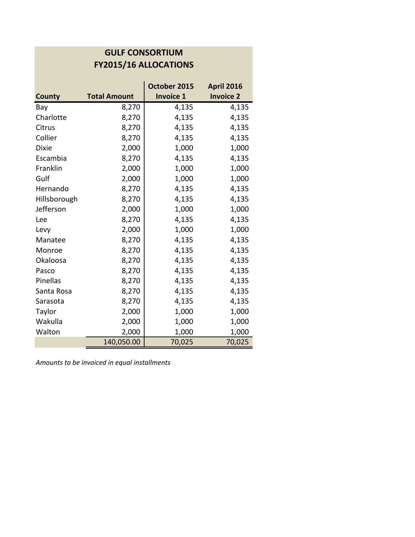# **GULF CONSORTIUM FY2015/16 ALLOCATIONS**

| <b>County</b> | <b>Total Amount</b> | October 2015<br><b>Invoice 1</b> | <b>April 2016</b><br><b>Invoice 2</b> |
|---------------|---------------------|----------------------------------|---------------------------------------|
| Bay           | 8,270               | 4,135                            | 4,135                                 |
| Charlotte     |                     |                                  |                                       |
|               | 8,270               | 4,135                            | 4,135                                 |
| Citrus        | 8,270               | 4,135                            | 4,135                                 |
| Collier       | 8,270               | 4,135                            | 4,135                                 |
| <b>Dixie</b>  | 2,000               | 1,000                            | 1,000                                 |
| Escambia      | 8,270               | 4,135                            | 4,135                                 |
| Franklin      | 2,000               | 1,000                            | 1,000                                 |
| Gulf          | 2,000               | 1,000                            | 1,000                                 |
| Hernando      | 8,270               | 4,135                            | 4,135                                 |
| Hillsborough  | 8,270               | 4,135                            | 4,135                                 |
| Jefferson     | 2,000               | 1,000                            | 1,000                                 |
| Lee           | 8,270               | 4,135                            | 4,135                                 |
| Levy          | 2,000               | 1,000                            | 1,000                                 |
| Manatee       | 8,270               | 4,135                            | 4,135                                 |
| Monroe        | 8,270               | 4,135                            | 4,135                                 |
| Okaloosa      | 8,270               | 4,135                            | 4,135                                 |
| Pasco         | 8,270               | 4,135                            | 4,135                                 |
| Pinellas      | 8,270               | 4,135                            | 4,135                                 |
| Santa Rosa    | 8,270               | 4,135                            | 4,135                                 |
| Sarasota      | 8,270               | 4,135                            | 4,135                                 |
| Taylor        | 2,000               | 1,000                            | 1,000                                 |
| Wakulla       | 2,000               | 1,000                            | 1,000                                 |
| Walton        | 2,000               | 1,000                            | 1,000                                 |
|               | 140,050.00          | 70,025                           | 70,025                                |

*Amounts to be invoiced in equal installments*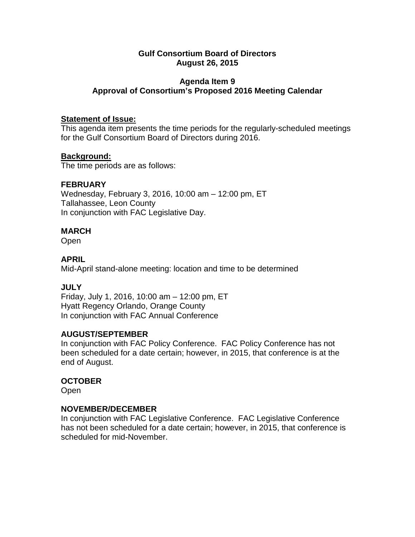# **Agenda Item 9 Approval of Consortium's Proposed 2016 Meeting Calendar**

## **Statement of Issue:**

This agenda item presents the time periods for the regularly-scheduled meetings for the Gulf Consortium Board of Directors during 2016.

# **Background:**

The time periods are as follows:

# **FEBRUARY**

Wednesday, February 3, 2016, 10:00 am – 12:00 pm, ET Tallahassee, Leon County In conjunction with FAC Legislative Day.

# **MARCH**

Open

# **APRIL**

Mid-April stand-alone meeting: location and time to be determined

# **JULY**

Friday, July 1, 2016, 10:00 am – 12:00 pm, ET Hyatt Regency Orlando, Orange County In conjunction with FAC Annual Conference

## **AUGUST/SEPTEMBER**

In conjunction with FAC Policy Conference. FAC Policy Conference has not been scheduled for a date certain; however, in 2015, that conference is at the end of August.

## **OCTOBER**

Open

## **NOVEMBER/DECEMBER**

In conjunction with FAC Legislative Conference. FAC Legislative Conference has not been scheduled for a date certain; however, in 2015, that conference is scheduled for mid-November.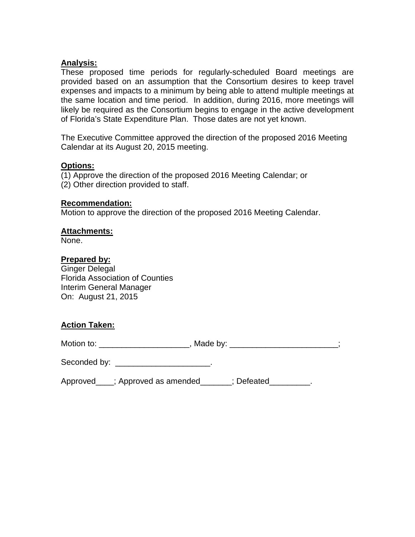## **Analysis:**

These proposed time periods for regularly-scheduled Board meetings are provided based on an assumption that the Consortium desires to keep travel expenses and impacts to a minimum by being able to attend multiple meetings at the same location and time period. In addition, during 2016, more meetings will likely be required as the Consortium begins to engage in the active development of Florida's State Expenditure Plan. Those dates are not yet known.

The Executive Committee approved the direction of the proposed 2016 Meeting Calendar at its August 20, 2015 meeting.

## **Options:**

(1) Approve the direction of the proposed 2016 Meeting Calendar; or (2) Other direction provided to staff.

### **Recommendation:**

Motion to approve the direction of the proposed 2016 Meeting Calendar.

### **Attachments:**

None.

## **Prepared by:**

Ginger Delegal Florida Association of Counties Interim General Manager On: August 21, 2015

## **Action Taken:**

Motion to: \_\_\_\_\_\_\_\_\_\_\_\_\_\_\_\_\_\_\_\_\_\_\_\_\_, Made by: \_\_\_\_\_\_\_\_\_\_\_\_\_\_\_\_\_\_\_\_\_\_\_\_;

Seconded by: \_\_\_\_\_\_\_\_\_\_\_\_\_\_\_\_\_\_\_\_\_.

Approved\_\_\_\_; Approved as amended\_\_\_\_\_\_; Defeated\_\_\_\_\_\_\_\_\_.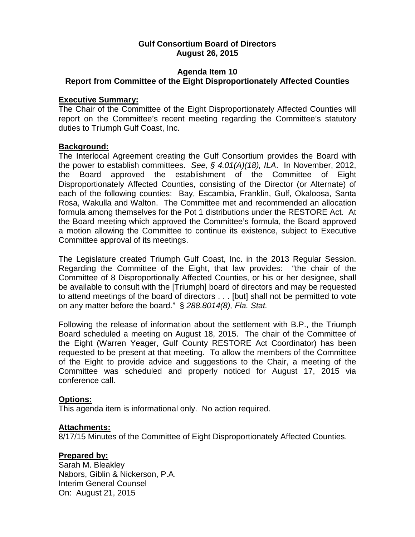## **Agenda Item 10 Report from Committee of the Eight Disproportionately Affected Counties**

### **Executive Summary:**

The Chair of the Committee of the Eight Disproportionately Affected Counties will report on the Committee's recent meeting regarding the Committee's statutory duties to Triumph Gulf Coast, Inc.

## **Background:**

The Interlocal Agreement creating the Gulf Consortium provides the Board with the power to establish committees. *See, § 4.01(A)(18), ILA*. In November, 2012, the Board approved the establishment of the Committee of Eight Disproportionately Affected Counties, consisting of the Director (or Alternate) of each of the following counties: Bay, Escambia, Franklin, Gulf, Okaloosa, Santa Rosa, Wakulla and Walton. The Committee met and recommended an allocation formula among themselves for the Pot 1 distributions under the RESTORE Act. At the Board meeting which approved the Committee's formula, the Board approved a motion allowing the Committee to continue its existence, subject to Executive Committee approval of its meetings.

The Legislature created Triumph Gulf Coast, Inc. in the 2013 Regular Session. Regarding the Committee of the Eight, that law provides: "the chair of the Committee of 8 Disproportionally Affected Counties, or his or her designee, shall be available to consult with the [Triumph] board of directors and may be requested to attend meetings of the board of directors . . . [but] shall not be permitted to vote on any matter before the board." § *288.8014(8), Fla. Stat.*

Following the release of information about the settlement with B.P., the Triumph Board scheduled a meeting on August 18, 2015. The chair of the Committee of the Eight (Warren Yeager, Gulf County RESTORE Act Coordinator) has been requested to be present at that meeting. To allow the members of the Committee of the Eight to provide advice and suggestions to the Chair, a meeting of the Committee was scheduled and properly noticed for August 17, 2015 via conference call.

## **Options:**

This agenda item is informational only. No action required.

## **Attachments:**

8/17/15 Minutes of the Committee of Eight Disproportionately Affected Counties.

## **Prepared by:**

Sarah M. Bleakley Nabors, Giblin & Nickerson, P.A. Interim General Counsel On: August 21, 2015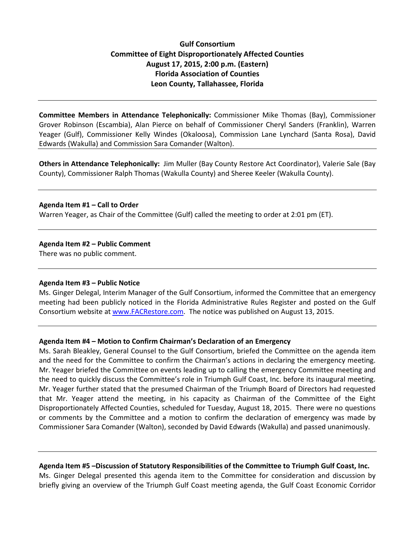## **Gulf Consortium Committee of Eight Disproportionately Affected Counties August 17, 2015, 2:00 p.m. (Eastern) Florida Association of Counties Leon County, Tallahassee, Florida**

**Committee Members in Attendance Telephonically:** Commissioner Mike Thomas (Bay), Commissioner Grover Robinson (Escambia), Alan Pierce on behalf of Commissioner Cheryl Sanders (Franklin), Warren Yeager (Gulf), Commissioner Kelly Windes (Okaloosa), Commission Lane Lynchard (Santa Rosa), David Edwards (Wakulla) and Commission Sara Comander (Walton).

**Others in Attendance Telephonically:** Jim Muller (Bay County Restore Act Coordinator), Valerie Sale (Bay County), Commissioner Ralph Thomas (Wakulla County) and Sheree Keeler (Wakulla County).

### **Agenda Item #1 – Call to Order**

Warren Yeager, as Chair of the Committee (Gulf) called the meeting to order at 2:01 pm (ET).

#### **Agenda Item #2 – Public Comment**

There was no public comment.

#### **Agenda Item #3 – Public Notice**

Ms. Ginger Delegal, Interim Manager of the Gulf Consortium, informed the Committee that an emergency meeting had been publicly noticed in the Florida Administrative Rules Register and posted on the Gulf Consortium website at [www.FACRestore.com.](http://www.facrestore.com/) The notice was published on August 13, 2015.

### **Agenda Item #4 – Motion to Confirm Chairman's Declaration of an Emergency**

Ms. Sarah Bleakley, General Counsel to the Gulf Consortium, briefed the Committee on the agenda item and the need for the Committee to confirm the Chairman's actions in declaring the emergency meeting. Mr. Yeager briefed the Committee on events leading up to calling the emergency Committee meeting and the need to quickly discuss the Committee's role in Triumph Gulf Coast, Inc. before its inaugural meeting. Mr. Yeager further stated that the presumed Chairman of the Triumph Board of Directors had requested that Mr. Yeager attend the meeting, in his capacity as Chairman of the Committee of the Eight Disproportionately Affected Counties, scheduled for Tuesday, August 18, 2015. There were no questions or comments by the Committee and a motion to confirm the declaration of emergency was made by Commissioner Sara Comander (Walton), seconded by David Edwards (Wakulla) and passed unanimously.

### **Agenda Item #5 –Discussion of Statutory Responsibilities of the Committee to Triumph Gulf Coast, Inc.**

Ms. Ginger Delegal presented this agenda item to the Committee for consideration and discussion by briefly giving an overview of the Triumph Gulf Coast meeting agenda, the Gulf Coast Economic Corridor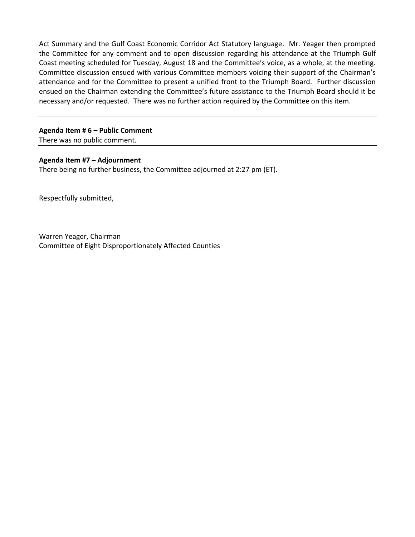Act Summary and the Gulf Coast Economic Corridor Act Statutory language. Mr. Yeager then prompted the Committee for any comment and to open discussion regarding his attendance at the Triumph Gulf Coast meeting scheduled for Tuesday, August 18 and the Committee's voice, as a whole, at the meeting. Committee discussion ensued with various Committee members voicing their support of the Chairman's attendance and for the Committee to present a unified front to the Triumph Board. Further discussion ensued on the Chairman extending the Committee's future assistance to the Triumph Board should it be necessary and/or requested. There was no further action required by the Committee on this item.

## **Agenda Item # 6 – Public Comment**

There was no public comment.

### **Agenda Item #7 – Adjournment**

There being no further business, the Committee adjourned at 2:27 pm (ET).

Respectfully submitted,

Warren Yeager, Chairman Committee of Eight Disproportionately Affected Counties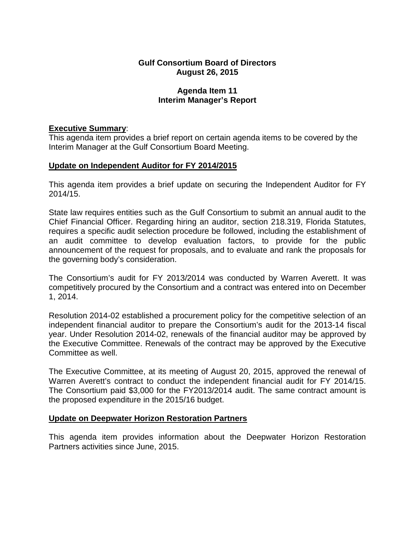## **Agenda Item 11 Interim Manager's Report**

# **Executive Summary**:

This agenda item provides a brief report on certain agenda items to be covered by the Interim Manager at the Gulf Consortium Board Meeting.

# **Update on Independent Auditor for FY 2014/2015**

This agenda item provides a brief update on securing the Independent Auditor for FY 2014/15.

State law requires entities such as the Gulf Consortium to submit an annual audit to the Chief Financial Officer. Regarding hiring an auditor, section 218.319, Florida Statutes, requires a specific audit selection procedure be followed, including the establishment of an audit committee to develop evaluation factors, to provide for the public announcement of the request for proposals, and to evaluate and rank the proposals for the governing body's consideration.

The Consortium's audit for FY 2013/2014 was conducted by Warren Averett. It was competitively procured by the Consortium and a contract was entered into on December 1, 2014.

Resolution 2014-02 established a procurement policy for the competitive selection of an independent financial auditor to prepare the Consortium's audit for the 2013-14 fiscal year. Under Resolution 2014-02, renewals of the financial auditor may be approved by the Executive Committee. Renewals of the contract may be approved by the Executive Committee as well.

The Executive Committee, at its meeting of August 20, 2015, approved the renewal of Warren Averett's contract to conduct the independent financial audit for FY 2014/15. The Consortium paid \$3,000 for the FY2013/2014 audit. The same contract amount is the proposed expenditure in the 2015/16 budget.

## **Update on Deepwater Horizon Restoration Partners**

This agenda item provides information about the Deepwater Horizon Restoration Partners activities since June, 2015.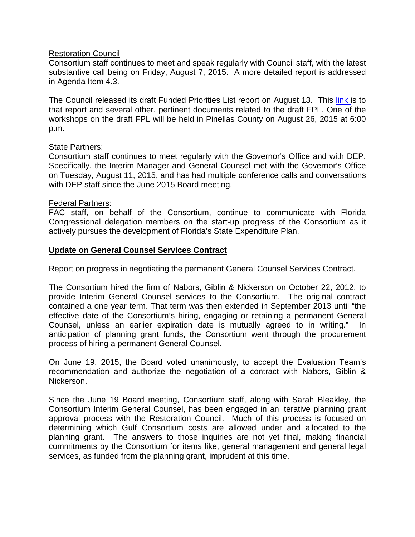## Restoration Council

Consortium staff continues to meet and speak regularly with Council staff, with the latest substantive call being on Friday, August 7, 2015. A more detailed report is addressed in Agenda Item 4.3.

The Council released its draft Funded Priorities List report on August 13. This [link](https://restorethegulf.gov/sites/default/files/Draft_Initial_FPL_0.pdf#overlay-context=our-work/draft-initial-funded-priorities-list-draft-fpl) is to that report and several other, pertinent documents related to the draft FPL. One of the workshops on the draft FPL will be held in Pinellas County on August 26, 2015 at 6:00 p.m.

### **State Partners:**

Consortium staff continues to meet regularly with the Governor's Office and with DEP. Specifically, the Interim Manager and General Counsel met with the Governor's Office on Tuesday, August 11, 2015, and has had multiple conference calls and conversations with DEP staff since the June 2015 Board meeting.

## Federal Partners:

FAC staff, on behalf of the Consortium, continue to communicate with Florida Congressional delegation members on the start-up progress of the Consortium as it actively pursues the development of Florida's State Expenditure Plan.

## **Update on General Counsel Services Contract**

Report on progress in negotiating the permanent General Counsel Services Contract.

The Consortium hired the firm of Nabors, Giblin & Nickerson on October 22, 2012, to provide Interim General Counsel services to the Consortium. The original contract contained a one year term. That term was then extended in September 2013 until "the effective date of the Consortium's hiring, engaging or retaining a permanent General Counsel, unless an earlier expiration date is mutually agreed to in writing." In anticipation of planning grant funds, the Consortium went through the procurement process of hiring a permanent General Counsel.

On June 19, 2015, the Board voted unanimously, to accept the Evaluation Team's recommendation and authorize the negotiation of a contract with Nabors, Giblin & Nickerson.

Since the June 19 Board meeting, Consortium staff, along with Sarah Bleakley, the Consortium Interim General Counsel, has been engaged in an iterative planning grant approval process with the Restoration Council. Much of this process is focused on determining which Gulf Consortium costs are allowed under and allocated to the planning grant. The answers to those inquiries are not yet final, making financial commitments by the Consortium for items like, general management and general legal services, as funded from the planning grant, imprudent at this time.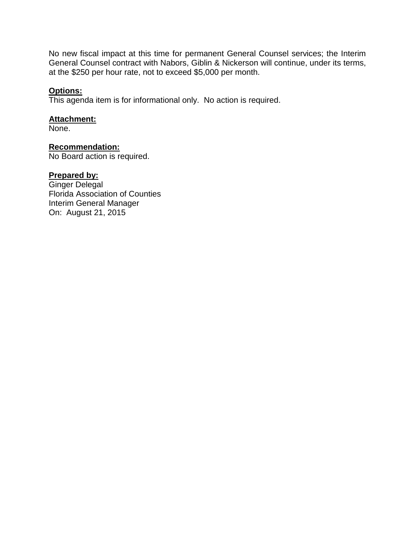No new fiscal impact at this time for permanent General Counsel services; the Interim General Counsel contract with Nabors, Giblin & Nickerson will continue, under its terms, at the \$250 per hour rate, not to exceed \$5,000 per month.

# **Options:**

This agenda item is for informational only. No action is required.

### **Attachment:**

None.

## **Recommendation:**

No Board action is required.

## **Prepared by:**

Ginger Delegal Florida Association of Counties Interim General Manager On: August 21, 2015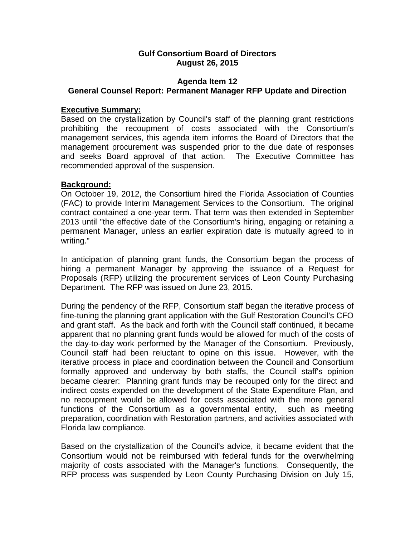## **Agenda Item 12 General Counsel Report: Permanent Manager RFP Update and Direction**

## **Executive Summary:**

Based on the crystallization by Council's staff of the planning grant restrictions prohibiting the recoupment of costs associated with the Consortium's management services, this agenda item informs the Board of Directors that the management procurement was suspended prior to the due date of responses and seeks Board approval of that action. The Executive Committee has recommended approval of the suspension.

## **Background:**

On October 19, 2012, the Consortium hired the Florida Association of Counties (FAC) to provide Interim Management Services to the Consortium. The original contract contained a one-year term. That term was then extended in September 2013 until "the effective date of the Consortium's hiring, engaging or retaining a permanent Manager, unless an earlier expiration date is mutually agreed to in writing."

In anticipation of planning grant funds, the Consortium began the process of hiring a permanent Manager by approving the issuance of a Request for Proposals (RFP) utilizing the procurement services of Leon County Purchasing Department. The RFP was issued on June 23, 2015.

During the pendency of the RFP, Consortium staff began the iterative process of fine-tuning the planning grant application with the Gulf Restoration Council's CFO and grant staff. As the back and forth with the Council staff continued, it became apparent that no planning grant funds would be allowed for much of the costs of the day-to-day work performed by the Manager of the Consortium. Previously, Council staff had been reluctant to opine on this issue. However, with the iterative process in place and coordination between the Council and Consortium formally approved and underway by both staffs, the Council staff's opinion became clearer: Planning grant funds may be recouped only for the direct and indirect costs expended on the development of the State Expenditure Plan, and no recoupment would be allowed for costs associated with the more general functions of the Consortium as a governmental entity, such as meeting preparation, coordination with Restoration partners, and activities associated with Florida law compliance.

Based on the crystallization of the Council's advice, it became evident that the Consortium would not be reimbursed with federal funds for the overwhelming majority of costs associated with the Manager's functions. Consequently, the RFP process was suspended by Leon County Purchasing Division on July 15,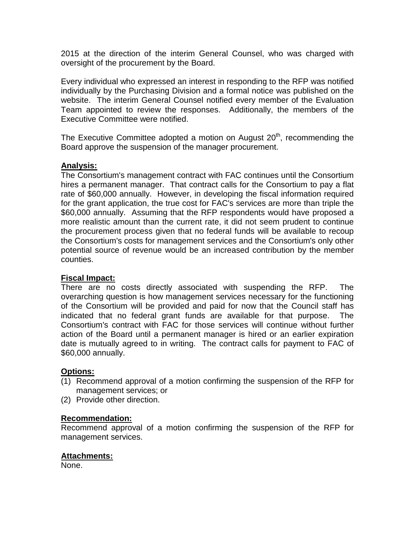2015 at the direction of the interim General Counsel, who was charged with oversight of the procurement by the Board.

Every individual who expressed an interest in responding to the RFP was notified individually by the Purchasing Division and a formal notice was published on the website. The interim General Counsel notified every member of the Evaluation Team appointed to review the responses. Additionally, the members of the Executive Committee were notified.

The Executive Committee adopted a motion on August  $20<sup>th</sup>$ , recommending the Board approve the suspension of the manager procurement.

# **Analysis:**

The Consortium's management contract with FAC continues until the Consortium hires a permanent manager. That contract calls for the Consortium to pay a flat rate of \$60,000 annually. However, in developing the fiscal information required for the grant application, the true cost for FAC's services are more than triple the \$60,000 annually. Assuming that the RFP respondents would have proposed a more realistic amount than the current rate, it did not seem prudent to continue the procurement process given that no federal funds will be available to recoup the Consortium's costs for management services and the Consortium's only other potential source of revenue would be an increased contribution by the member counties.

## **Fiscal Impact:**

There are no costs directly associated with suspending the RFP. The overarching question is how management services necessary for the functioning of the Consortium will be provided and paid for now that the Council staff has indicated that no federal grant funds are available for that purpose. The Consortium's contract with FAC for those services will continue without further action of the Board until a permanent manager is hired or an earlier expiration date is mutually agreed to in writing. The contract calls for payment to FAC of \$60,000 annually.

# **Options:**

- (1) Recommend approval of a motion confirming the suspension of the RFP for management services; or
- (2) Provide other direction.

## **Recommendation:**

Recommend approval of a motion confirming the suspension of the RFP for management services.

## **Attachments:**

None.